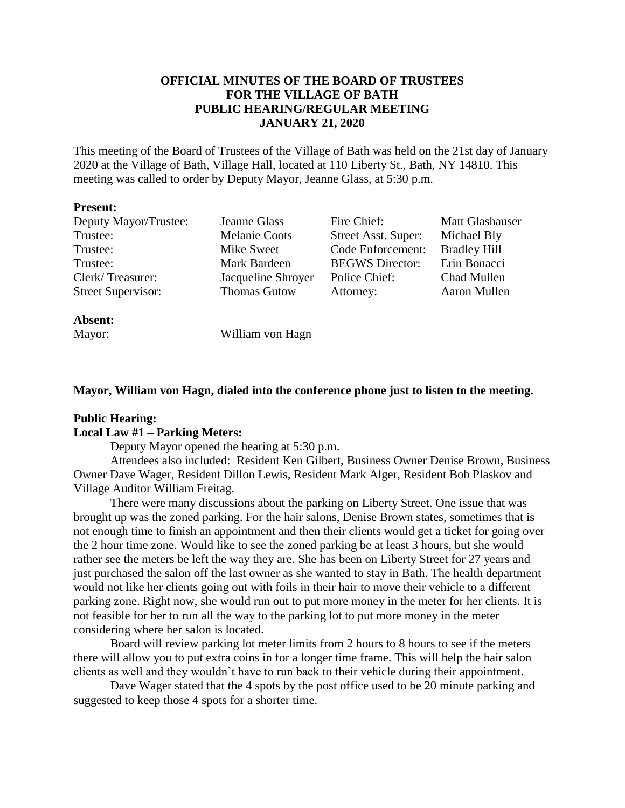# **OFFICIAL MINUTES OF THE BOARD OF TRUSTEES FOR THE VILLAGE OF BATH PUBLIC HEARING/REGULAR MEETING JANUARY 21, 2020**

This meeting of the Board of Trustees of the Village of Bath was held on the 21st day of January 2020 at the Village of Bath, Village Hall, located at 110 Liberty St., Bath, NY 14810. This meeting was called to order by Deputy Mayor, Jeanne Glass, at 5:30 p.m.

## **Present:**

| Deputy Mayor/Trustee:     | Jeanne Glass         | Fire Chief:                | <b>Matt Glashauser</b> |
|---------------------------|----------------------|----------------------------|------------------------|
| Trustee:                  | <b>Melanie Coots</b> | <b>Street Asst. Super:</b> | Michael Bly            |
| Trustee:                  | Mike Sweet           | Code Enforcement:          | <b>Bradley Hill</b>    |
| Trustee:                  | Mark Bardeen         | <b>BEGWS</b> Director:     | Erin Bonacci           |
| Clerk/Treasurer:          | Jacqueline Shroyer   | Police Chief:              | Chad Mullen            |
| <b>Street Supervisor:</b> | <b>Thomas Gutow</b>  | Attorney:                  | Aaron Mullen           |

# **Absent:**

Mayor: William von Hagn

# **Mayor, William von Hagn, dialed into the conference phone just to listen to the meeting.**

# **Public Hearing:**

# **Local Law #1 – Parking Meters:**

Deputy Mayor opened the hearing at 5:30 p.m.

Attendees also included: Resident Ken Gilbert, Business Owner Denise Brown, Business Owner Dave Wager, Resident Dillon Lewis, Resident Mark Alger, Resident Bob Plaskov and Village Auditor William Freitag.

There were many discussions about the parking on Liberty Street. One issue that was brought up was the zoned parking. For the hair salons, Denise Brown states, sometimes that is not enough time to finish an appointment and then their clients would get a ticket for going over the 2 hour time zone. Would like to see the zoned parking be at least 3 hours, but she would rather see the meters be left the way they are. She has been on Liberty Street for 27 years and just purchased the salon off the last owner as she wanted to stay in Bath. The health department would not like her clients going out with foils in their hair to move their vehicle to a different parking zone. Right now, she would run out to put more money in the meter for her clients. It is not feasible for her to run all the way to the parking lot to put more money in the meter considering where her salon is located.

Board will review parking lot meter limits from 2 hours to 8 hours to see if the meters there will allow you to put extra coins in for a longer time frame. This will help the hair salon clients as well and they wouldn't have to run back to their vehicle during their appointment.

Dave Wager stated that the 4 spots by the post office used to be 20 minute parking and suggested to keep those 4 spots for a shorter time.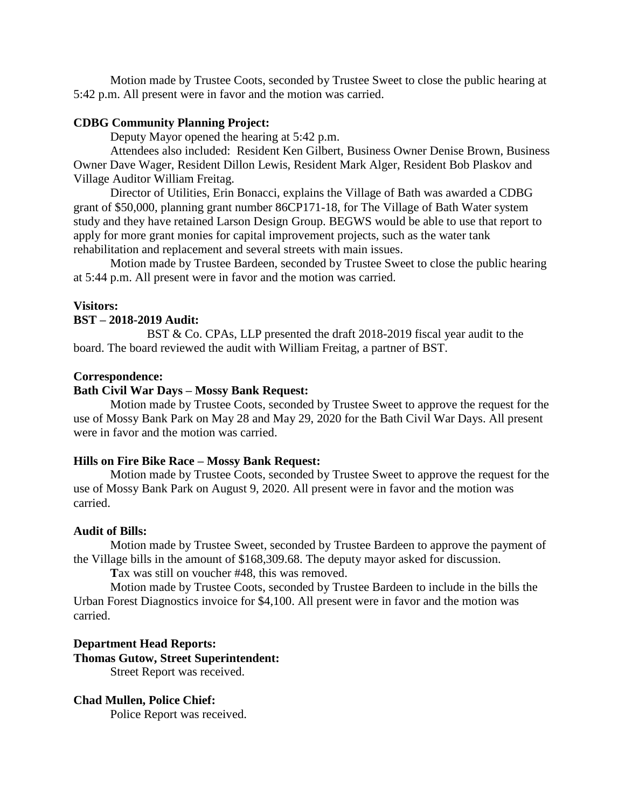Motion made by Trustee Coots, seconded by Trustee Sweet to close the public hearing at 5:42 p.m. All present were in favor and the motion was carried.

# **CDBG Community Planning Project:**

Deputy Mayor opened the hearing at 5:42 p.m.

Attendees also included: Resident Ken Gilbert, Business Owner Denise Brown, Business Owner Dave Wager, Resident Dillon Lewis, Resident Mark Alger, Resident Bob Plaskov and Village Auditor William Freitag.

Director of Utilities, Erin Bonacci, explains the Village of Bath was awarded a CDBG grant of \$50,000, planning grant number 86CP171-18, for The Village of Bath Water system study and they have retained Larson Design Group. BEGWS would be able to use that report to apply for more grant monies for capital improvement projects, such as the water tank rehabilitation and replacement and several streets with main issues.

Motion made by Trustee Bardeen, seconded by Trustee Sweet to close the public hearing at 5:44 p.m. All present were in favor and the motion was carried.

### **Visitors:**

### **BST – 2018-2019 Audit:**

BST & Co. CPAs, LLP presented the draft 2018-2019 fiscal year audit to the board. The board reviewed the audit with William Freitag, a partner of BST.

#### **Correspondence:**

# **Bath Civil War Days – Mossy Bank Request:**

Motion made by Trustee Coots, seconded by Trustee Sweet to approve the request for the use of Mossy Bank Park on May 28 and May 29, 2020 for the Bath Civil War Days. All present were in favor and the motion was carried.

## **Hills on Fire Bike Race – Mossy Bank Request:**

Motion made by Trustee Coots, seconded by Trustee Sweet to approve the request for the use of Mossy Bank Park on August 9, 2020. All present were in favor and the motion was carried.

#### **Audit of Bills:**

Motion made by Trustee Sweet, seconded by Trustee Bardeen to approve the payment of the Village bills in the amount of \$168,309.68. The deputy mayor asked for discussion.

**T**ax was still on voucher #48, this was removed.

Motion made by Trustee Coots, seconded by Trustee Bardeen to include in the bills the Urban Forest Diagnostics invoice for \$4,100. All present were in favor and the motion was carried.

**Department Head Reports: Thomas Gutow, Street Superintendent:**

Street Report was received.

## **Chad Mullen, Police Chief:**

Police Report was received.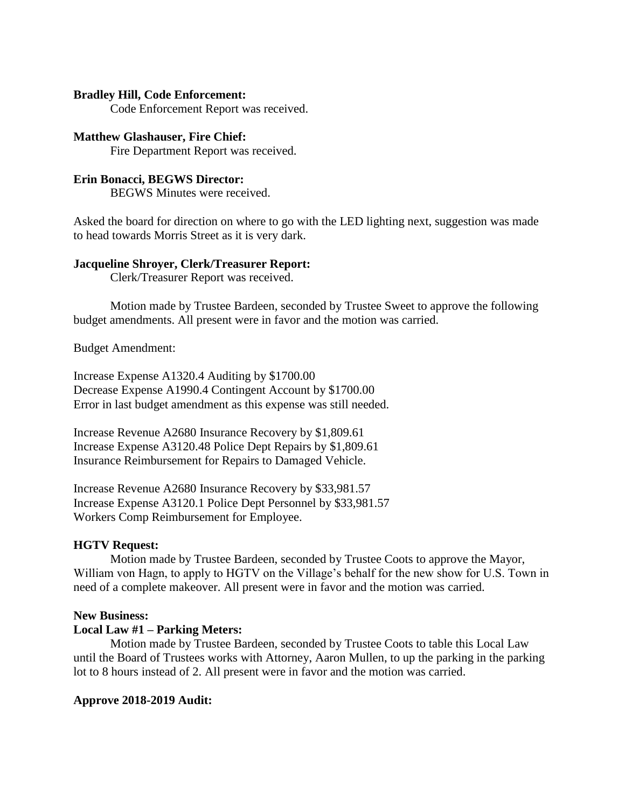# **Bradley Hill, Code Enforcement:**

Code Enforcement Report was received.

# **Matthew Glashauser, Fire Chief:**

Fire Department Report was received.

# **Erin Bonacci, BEGWS Director:**

BEGWS Minutes were received.

Asked the board for direction on where to go with the LED lighting next, suggestion was made to head towards Morris Street as it is very dark.

#### **Jacqueline Shroyer, Clerk/Treasurer Report:**

Clerk/Treasurer Report was received.

Motion made by Trustee Bardeen, seconded by Trustee Sweet to approve the following budget amendments. All present were in favor and the motion was carried.

Budget Amendment:

Increase Expense A1320.4 Auditing by \$1700.00 Decrease Expense A1990.4 Contingent Account by \$1700.00 Error in last budget amendment as this expense was still needed.

Increase Revenue A2680 Insurance Recovery by \$1,809.61 Increase Expense A3120.48 Police Dept Repairs by \$1,809.61 Insurance Reimbursement for Repairs to Damaged Vehicle.

Increase Revenue A2680 Insurance Recovery by \$33,981.57 Increase Expense A3120.1 Police Dept Personnel by \$33,981.57 Workers Comp Reimbursement for Employee.

# **HGTV Request:**

Motion made by Trustee Bardeen, seconded by Trustee Coots to approve the Mayor, William von Hagn, to apply to HGTV on the Village's behalf for the new show for U.S. Town in need of a complete makeover. All present were in favor and the motion was carried.

#### **New Business:**

# **Local Law #1 – Parking Meters:**

Motion made by Trustee Bardeen, seconded by Trustee Coots to table this Local Law until the Board of Trustees works with Attorney, Aaron Mullen, to up the parking in the parking lot to 8 hours instead of 2. All present were in favor and the motion was carried.

#### **Approve 2018-2019 Audit:**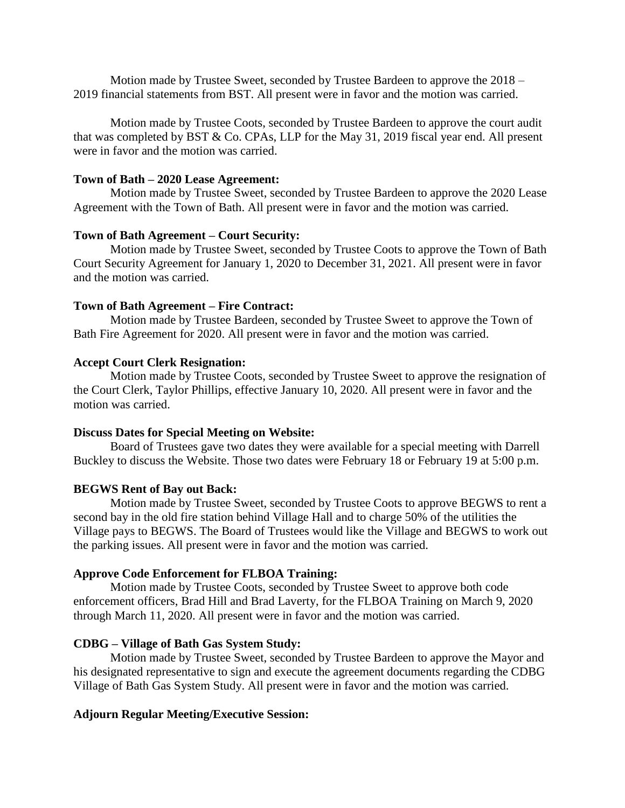Motion made by Trustee Sweet, seconded by Trustee Bardeen to approve the 2018 – 2019 financial statements from BST. All present were in favor and the motion was carried.

Motion made by Trustee Coots, seconded by Trustee Bardeen to approve the court audit that was completed by BST & Co. CPAs, LLP for the May 31, 2019 fiscal year end. All present were in favor and the motion was carried.

### **Town of Bath – 2020 Lease Agreement:**

Motion made by Trustee Sweet, seconded by Trustee Bardeen to approve the 2020 Lease Agreement with the Town of Bath. All present were in favor and the motion was carried.

# **Town of Bath Agreement – Court Security:**

Motion made by Trustee Sweet, seconded by Trustee Coots to approve the Town of Bath Court Security Agreement for January 1, 2020 to December 31, 2021. All present were in favor and the motion was carried.

### **Town of Bath Agreement – Fire Contract:**

Motion made by Trustee Bardeen, seconded by Trustee Sweet to approve the Town of Bath Fire Agreement for 2020. All present were in favor and the motion was carried.

## **Accept Court Clerk Resignation:**

Motion made by Trustee Coots, seconded by Trustee Sweet to approve the resignation of the Court Clerk, Taylor Phillips, effective January 10, 2020. All present were in favor and the motion was carried.

#### **Discuss Dates for Special Meeting on Website:**

Board of Trustees gave two dates they were available for a special meeting with Darrell Buckley to discuss the Website. Those two dates were February 18 or February 19 at 5:00 p.m.

## **BEGWS Rent of Bay out Back:**

Motion made by Trustee Sweet, seconded by Trustee Coots to approve BEGWS to rent a second bay in the old fire station behind Village Hall and to charge 50% of the utilities the Village pays to BEGWS. The Board of Trustees would like the Village and BEGWS to work out the parking issues. All present were in favor and the motion was carried.

## **Approve Code Enforcement for FLBOA Training:**

Motion made by Trustee Coots, seconded by Trustee Sweet to approve both code enforcement officers, Brad Hill and Brad Laverty, for the FLBOA Training on March 9, 2020 through March 11, 2020. All present were in favor and the motion was carried.

### **CDBG – Village of Bath Gas System Study:**

Motion made by Trustee Sweet, seconded by Trustee Bardeen to approve the Mayor and his designated representative to sign and execute the agreement documents regarding the CDBG Village of Bath Gas System Study. All present were in favor and the motion was carried.

## **Adjourn Regular Meeting/Executive Session:**